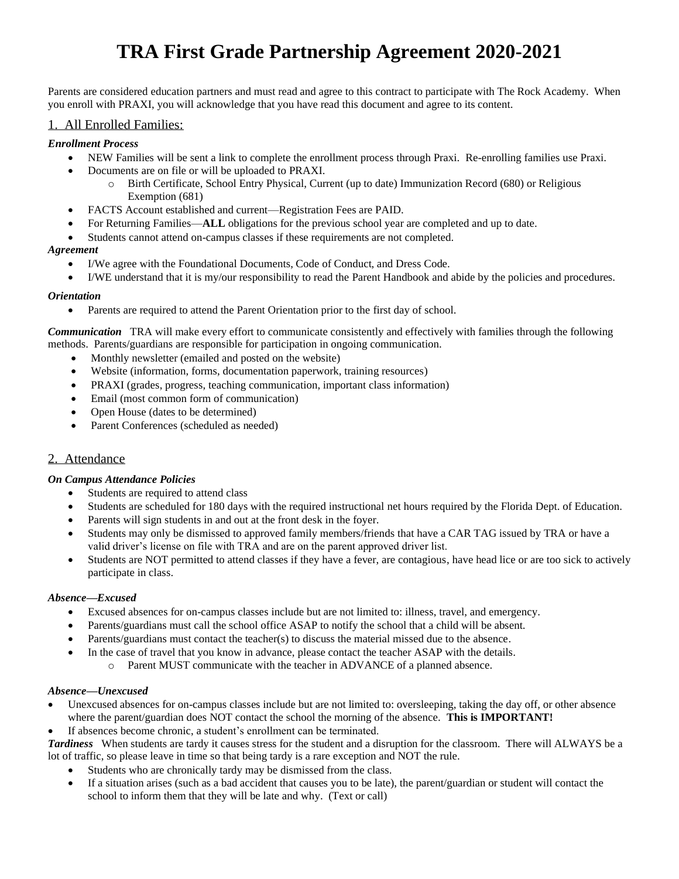# **TRA First Grade Partnership Agreement 2020-2021**

Parents are considered education partners and must read and agree to this contract to participate with The Rock Academy. When you enroll with PRAXI, you will acknowledge that you have read this document and agree to its content.

#### 1. All Enrolled Families:

#### *Enrollment Process*

- NEW Families will be sent a link to complete the enrollment process through Praxi. Re-enrolling families use Praxi.
- Documents are on file or will be uploaded to PRAXI.
	- o Birth Certificate, School Entry Physical, Current (up to date) Immunization Record (680) or Religious Exemption (681)
- FACTS Account established and current—Registration Fees are PAID.
- For Returning Families—**ALL** obligations for the previous school year are completed and up to date.
- Students cannot attend on-campus classes if these requirements are not completed.

#### *Agreement*

- I/We agree with the Foundational Documents, Code of Conduct, and Dress Code.
- I/WE understand that it is my/our responsibility to read the Parent Handbook and abide by the policies and procedures.

#### *Orientation*

• Parents are required to attend the Parent Orientation prior to the first day of school.

*Communication* TRA will make every effort to communicate consistently and effectively with families through the following methods. Parents/guardians are responsible for participation in ongoing communication.

- Monthly newsletter (emailed and posted on the website)
- Website (information, forms, documentation paperwork, training resources)
- PRAXI (grades, progress, teaching communication, important class information)
- Email (most common form of communication)
- Open House (dates to be determined)
- Parent Conferences (scheduled as needed)

#### 2. Attendance

#### *On Campus Attendance Policies*

- Students are required to attend class
- Students are scheduled for 180 days with the required instructional net hours required by the Florida Dept. of Education.
- Parents will sign students in and out at the front desk in the foyer.
- Students may only be dismissed to approved family members/friends that have a CAR TAG issued by TRA or have a valid driver's license on file with TRA and are on the parent approved driver list.
- Students are NOT permitted to attend classes if they have a fever, are contagious, have head lice or are too sick to actively participate in class.

#### *Absence—Excused*

- Excused absences for on-campus classes include but are not limited to: illness, travel, and emergency.
- Parents/guardians must call the school office ASAP to notify the school that a child will be absent.
- Parents/guardians must contact the teacher(s) to discuss the material missed due to the absence.
- In the case of travel that you know in advance, please contact the teacher ASAP with the details.
	- o Parent MUST communicate with the teacher in ADVANCE of a planned absence.

#### *Absence—Unexcused*

- Unexcused absences for on-campus classes include but are not limited to: oversleeping, taking the day off, or other absence where the parent/guardian does NOT contact the school the morning of the absence. **This is IMPORTANT!**
- If absences become chronic, a student's enrollment can be terminated.

*Tardiness* When students are tardy it causes stress for the student and a disruption for the classroom. There will ALWAYS be a lot of traffic, so please leave in time so that being tardy is a rare exception and NOT the rule.

- Students who are chronically tardy may be dismissed from the class.
- If a situation arises (such as a bad accident that causes you to be late), the parent/guardian or student will contact the school to inform them that they will be late and why. (Text or call)